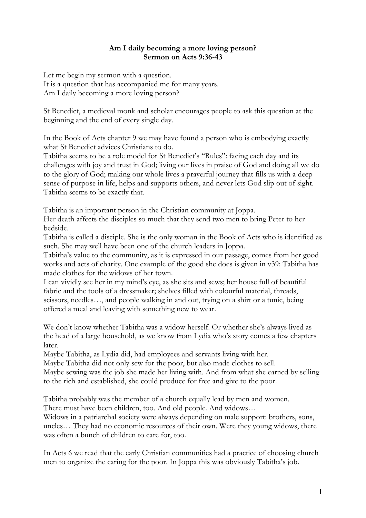## **Am I daily becoming a more loving person? Sermon on Acts 9:36-43**

Let me begin my sermon with a question. It is a question that has accompanied me for many years. Am I daily becoming a more loving person?

St Benedict, a medieval monk and scholar encourages people to ask this question at the beginning and the end of every single day.

In the Book of Acts chapter 9 we may have found a person who is embodying exactly what St Benedict advices Christians to do.

Tabitha seems to be a role model for St Benedict's "Rules": facing each day and its challenges with joy and trust in God; living our lives in praise of God and doing all we do to the glory of God; making our whole lives a prayerful journey that fills us with a deep sense of purpose in life, helps and supports others, and never lets God slip out of sight. Tabitha seems to be exactly that.

Tabitha is an important person in the Christian community at Joppa.

Her death affects the disciples so much that they send two men to bring Peter to her bedside.

Tabitha is called a disciple. She is the only woman in the Book of Acts who is identified as such. She may well have been one of the church leaders in Joppa.

Tabitha's value to the community, as it is expressed in our passage, comes from her good works and acts of charity. One example of the good she does is given in v39: Tabitha has made clothes for the widows of her town.

I can vividly see her in my mind's eye, as she sits and sews; her house full of beautiful fabric and the tools of a dressmaker; shelves filled with colourful material, threads, scissors, needles…, and people walking in and out, trying on a shirt or a tunic, being offered a meal and leaving with something new to wear.

We don't know whether Tabitha was a widow herself. Or whether she's always lived as the head of a large household, as we know from Lydia who's story comes a few chapters later.

Maybe Tabitha, as Lydia did, had employees and servants living with her.

Maybe Tabitha did not only sew for the poor, but also made clothes to sell.

Maybe sewing was the job she made her living with. And from what she earned by selling to the rich and established, she could produce for free and give to the poor.

Tabitha probably was the member of a church equally lead by men and women.

There must have been children, too. And old people. And widows…

Widows in a patriarchal society were always depending on male support: brothers, sons, uncles… They had no economic resources of their own. Were they young widows, there was often a bunch of children to care for, too.

In Acts 6 we read that the early Christian communities had a practice of choosing church men to organize the caring for the poor. In Joppa this was obviously Tabitha's job.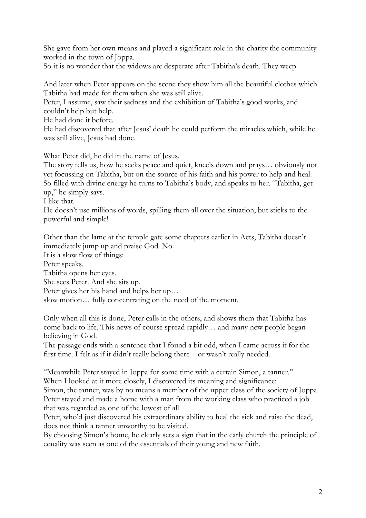She gave from her own means and played a significant role in the charity the community worked in the town of Joppa.

So it is no wonder that the widows are desperate after Tabitha's death. They weep.

And later when Peter appears on the scene they show him all the beautiful clothes which Tabitha had made for them when she was still alive.

Peter, I assume, saw their sadness and the exhibition of Tabitha's good works, and couldn't help but help.

He had done it before.

He had discovered that after Jesus' death he could perform the miracles which, while he was still alive, Jesus had done.

What Peter did, he did in the name of Jesus.

The story tells us, how he seeks peace and quiet, kneels down and prays… obviously not yet focussing on Tabitha, but on the source of his faith and his power to help and heal. So filled with divine energy he turns to Tabitha's body, and speaks to her. "Tabitha, get up," he simply says.

I like that.

He doesn't use millions of words, spilling them all over the situation, but sticks to the powerful and simple!

Other than the lame at the temple gate some chapters earlier in Acts, Tabitha doesn't immediately jump up and praise God. No.

It is a slow flow of things:

Peter speaks.

Tabitha opens her eyes.

She sees Peter. And she sits up.

Peter gives her his hand and helps her up…

slow motion… fully concentrating on the need of the moment.

Only when all this is done, Peter calls in the others, and shows them that Tabitha has come back to life. This news of course spread rapidly… and many new people began believing in God.

The passage ends with a sentence that I found a bit odd, when I came across it for the first time. I felt as if it didn't really belong there – or wasn't really needed.

"Meanwhile Peter stayed in Joppa for some time with a certain Simon, a tanner." When I looked at it more closely, I discovered its meaning and significance:

Simon, the tanner, was by no means a member of the upper class of the society of Joppa. Peter stayed and made a home with a man from the working class who practiced a job that was regarded as one of the lowest of all.

Peter, who'd just discovered his extraordinary ability to heal the sick and raise the dead, does not think a tanner unworthy to be visited.

By choosing Simon's home, he clearly sets a sign that in the early church the principle of equality was seen as one of the essentials of their young and new faith.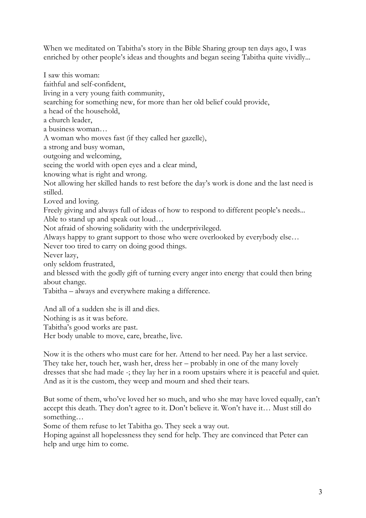When we meditated on Tabitha's story in the Bible Sharing group ten days ago, I was enriched by other people's ideas and thoughts and began seeing Tabitha quite vividly...

I saw this woman: faithful and self-confident, living in a very young faith community, searching for something new, for more than her old belief could provide, a head of the household, a church leader, a business woman… A woman who moves fast (if they called her gazelle), a strong and busy woman, outgoing and welcoming, seeing the world with open eyes and a clear mind, knowing what is right and wrong. Not allowing her skilled hands to rest before the day's work is done and the last need is stilled. Loved and loving. Freely giving and always full of ideas of how to respond to different people's needs... Able to stand up and speak out loud… Not afraid of showing solidarity with the underprivileged. Always happy to grant support to those who were overlooked by everybody else… Never too tired to carry on doing good things. Never lazy, only seldom frustrated, and blessed with the godly gift of turning every anger into energy that could then bring about change. Tabitha – always and everywhere making a difference. And all of a sudden she is ill and dies.

Nothing is as it was before.

Tabitha's good works are past.

Her body unable to move, care, breathe, live.

Now it is the others who must care for her. Attend to her need. Pay her a last service. They take her, touch her, wash her, dress her – probably in one of the many lovely dresses that she had made -; they lay her in a room upstairs where it is peaceful and quiet. And as it is the custom, they weep and mourn and shed their tears.

But some of them, who've loved her so much, and who she may have loved equally, can't accept this death. They don't agree to it. Don't believe it. Won't have it… Must still do something…

Some of them refuse to let Tabitha go. They seek a way out.

Hoping against all hopelessness they send for help. They are convinced that Peter can help and urge him to come.